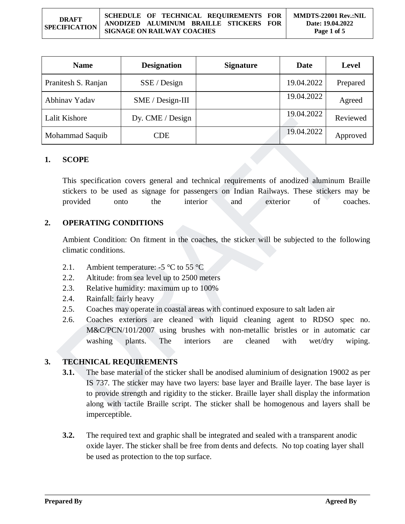#### **DRAFT SPECIFICATION SCHEDULE OF TECHNICAL REQUIREMENTS FOR ANODIZED ALUMINUM BRAILLE STICKERS FOR SIGNAGE ON RAILWAY COACHES MMDTS-22001 Rev.:NIL Date: 19.04.2022 Page 1 of 5**

| <b>Name</b>         | <b>Designation</b> | <b>Signature</b> | Date       | <b>Level</b> |
|---------------------|--------------------|------------------|------------|--------------|
| Pranitesh S. Ranjan | SSE / Design       |                  | 19.04.2022 | Prepared     |
| Abhinav Yadav       | $SME / Design-III$ |                  | 19.04.2022 | Agreed       |
| Lalit Kishore       | Dy. CME / Design   |                  | 19.04.2022 | Reviewed     |
| Mohammad Saquib     | CDE                |                  | 19.04.2022 | Approved     |

#### **1. SCOPE**

This specification covers general and technical requirements of anodized aluminum Braille stickers to be used as signage for passengers on Indian Railways. These stickers may be provided onto the interior and exterior of coaches.

#### **2. OPERATING CONDITIONS**

Ambient Condition: On fitment in the coaches, the sticker will be subjected to the following climatic conditions.

- 2.1. Ambient temperature:  $-5 \degree C$  to 55  $\degree C$
- 2.2. Altitude: from sea level up to 2500 meters
- 2.3. Relative humidity: maximum up to 100%
- 2.4. Rainfall: fairly heavy
- 2.5. Coaches may operate in coastal areas with continued exposure to salt laden air
- 2.6. Coaches exteriors are cleaned with liquid cleaning agent to RDSO spec no. M&C/PCN/101/2007 using brushes with non-metallic bristles or in automatic car washing plants. The interiors are cleaned with wet/dry wiping.

#### **3. TECHNICAL REQUIREMENTS**

- **3.1.** The base material of the sticker shall be anodised aluminium of designation 19002 as per IS 737. The sticker may have two layers: base layer and Braille layer. The base layer is to provide strength and rigidity to the sticker. Braille layer shall display the information along with tactile Braille script. The sticker shall be homogenous and layers shall be imperceptible.
- **3.2.** The required text and graphic shall be integrated and sealed with a transparent anodic oxide layer. The sticker shall be free from dents and defects. No top coating layer shall be used as protection to the top surface.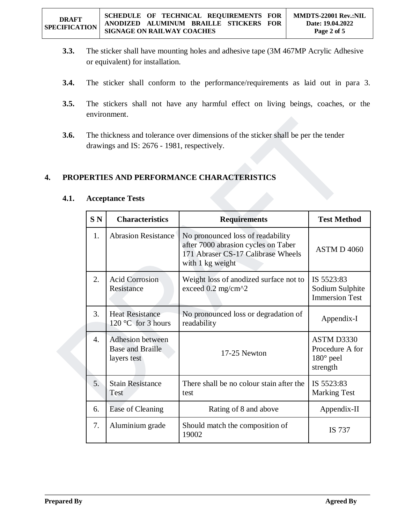- **3.3.** The sticker shall have mounting holes and adhesive tape (3M 467MP Acrylic Adhesive or equivalent) for installation.
- **3.4.** The sticker shall conform to the performance/requirements as laid out in para 3.
- **3.5.** The stickers shall not have any harmful effect on living beings, coaches, or the environment.
- **3.6.** The thickness and tolerance over dimensions of the sticker shall be per the tender drawings and IS: 2676 - 1981, respectively.

## **4. PROPERTIES AND PERFORMANCE CHARACTERISTICS**

| SN <sub>N</sub>       | <b>Characteristics</b>                                     | <b>Requirements</b>                                                                                                                | <b>Test Method</b>                                            |
|-----------------------|------------------------------------------------------------|------------------------------------------------------------------------------------------------------------------------------------|---------------------------------------------------------------|
| 1.                    | <b>Abrasion Resistance</b>                                 | No pronounced loss of readability<br>after 7000 abrasion cycles on Taber<br>171 Abraser CS-17 Calibrase Wheels<br>with 1 kg weight | ASTM D4060                                                    |
| 2.                    | <b>Acid Corrosion</b><br>Resistance                        | Weight loss of anodized surface not to<br>exceed $0.2$ mg/cm $\textdegree$ 2                                                       | IS 5523:83<br>Sodium Sulphite<br><b>Immersion Test</b>        |
| 3.                    | <b>Heat Resistance</b><br>$120 °C$ for 3 hours             | No pronounced loss or degradation of<br>readability                                                                                | Appendix-I                                                    |
| $\mathcal{A}_{\cdot}$ | Adhesion between<br><b>Base and Braille</b><br>layers test | 17-25 Newton                                                                                                                       | ASTM D3330<br>Procedure A for<br>$180^\circ$ peel<br>strength |
| 5.                    | <b>Stain Resistance</b><br>Test                            | There shall be no colour stain after the<br>test                                                                                   | IS 5523:83<br><b>Marking Test</b>                             |
| 6.                    | Ease of Cleaning                                           | Rating of 8 and above                                                                                                              | Appendix-II                                                   |
| 7.                    | Aluminium grade                                            | Should match the composition of<br>19002                                                                                           | IS 737                                                        |

## **4.1. Acceptance Tests**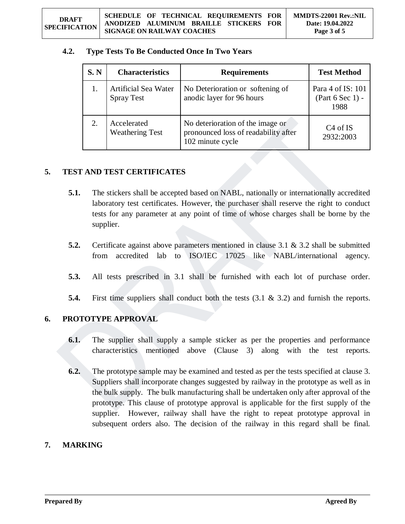## **4.2. Type Tests To Be Conducted Once In Two Years**

| S. N | <b>Characteristics</b>                    | <b>Requirements</b>                                                                          | <b>Test Method</b>                              |
|------|-------------------------------------------|----------------------------------------------------------------------------------------------|-------------------------------------------------|
|      | Artificial Sea Water<br><b>Spray Test</b> | No Deterioration or softening of<br>anodic layer for 96 hours                                | Para 4 of IS: 101<br>(Part $6$ Sec 1) -<br>1988 |
|      | Accelerated<br><b>Weathering Test</b>     | No deterioration of the image or<br>pronounced loss of readability after<br>102 minute cycle | C <sub>4</sub> of IS<br>2932:2003               |

## **5. TEST AND TEST CERTIFICATES**

- **5.1.** The stickers shall be accepted based on NABL, nationally or internationally accredited laboratory test certificates. However, the purchaser shall reserve the right to conduct tests for any parameter at any point of time of whose charges shall be borne by the supplier.
- **5.2.** Certificate against above parameters mentioned in clause 3.1 & 3.2 shall be submitted from accredited lab to ISO/IEC 17025 like NABL/international agency.
- **5.3.** All tests prescribed in 3.1 shall be furnished with each lot of purchase order.
- **5.4.** First time suppliers shall conduct both the tests (3.1 & 3.2) and furnish the reports.

## **6. PROTOTYPE APPROVAL**

- **6.1.** The supplier shall supply a sample sticker as per the properties and performance characteristics mentioned above (Clause 3) along with the test reports.
- **6.2.** The prototype sample may be examined and tested as per the tests specified at clause 3. Suppliers shall incorporate changes suggested by railway in the prototype as well as in the bulk supply. The bulk manufacturing shall be undertaken only after approval of the prototype. This clause of prototype approval is applicable for the first supply of the supplier. However, railway shall have the right to repeat prototype approval in subsequent orders also. The decision of the railway in this regard shall be final.

## **7. MARKING**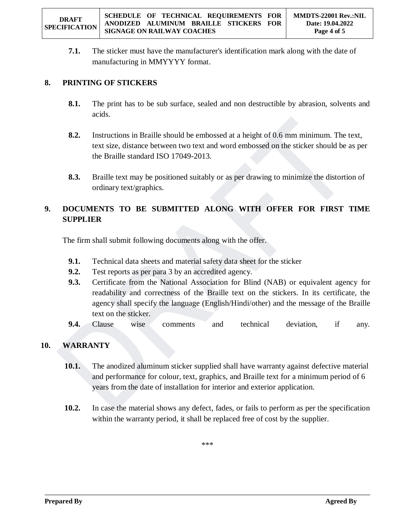**7.1.** The sticker must have the manufacturer's identification mark along with the date of manufacturing in MMYYYY format.

## **8. PRINTING OF STICKERS**

- **8.1.** The print has to be sub surface, sealed and non destructible by abrasion, solvents and acids.
- **8.2.** Instructions in Braille should be embossed at a height of 0.6 mm minimum. The text, text size, distance between two text and word embossed on the sticker should be as per the Braille standard ISO 17049-2013.
- **8.3.** Braille text may be positioned suitably or as per drawing to minimize the distortion of ordinary text/graphics.

# **9. DOCUMENTS TO BE SUBMITTED ALONG WITH OFFER FOR FIRST TIME SUPPLIER**

The firm shall submit following documents along with the offer.

- **9.1.** Technical data sheets and material safety data sheet for the sticker
- **9.2.** Test reports as per para 3 by an accredited agency.
- **9.3.** Certificate from the National Association for Blind (NAB) or equivalent agency for readability and correctness of the Braille text on the stickers. In its certificate, the agency shall specify the language (English/Hindi/other) and the message of the Braille text on the sticker.
- **9.4.** Clause wise comments and technical deviation, if any.

# **10. WARRANTY**

- **10.1.** The anodized aluminum sticker supplied shall have warranty against defective material and performance for colour, text, graphics, and Braille text for a minimum period of 6 years from the date of installation for interior and exterior application.
- **10.2.** In case the material shows any defect, fades, or fails to perform as per the specification within the warranty period, it shall be replaced free of cost by the supplier.

\*\*\*